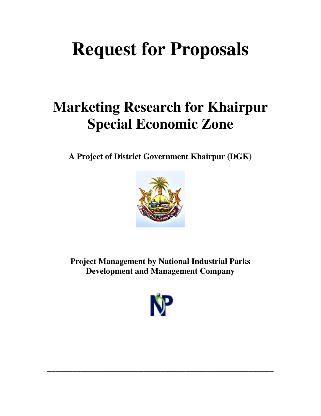# **Request for Proposals**

## **Marketing Research for Khairpur Special Economic Zone**

**A Project of District Government Khairpur (DGK)** 



**Project Management by National Industrial Parks Development and Management Company** 



**\_\_\_\_\_\_\_\_\_\_\_\_\_\_\_\_\_\_\_\_\_\_\_\_\_\_\_\_\_\_\_\_\_\_\_\_\_\_\_\_\_\_\_\_\_\_\_\_\_\_\_\_\_\_**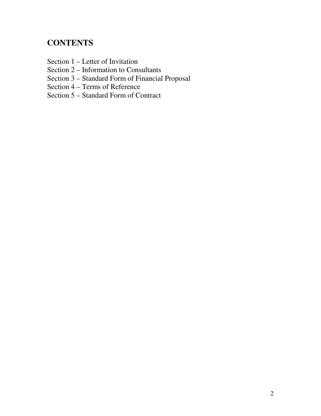## **CONTENTS**

- Section 1 Letter of Invitation
- Section 2 Information to Consultants
- Section 3 Standard Form of Financial Proposal
- Section 4 Terms of Reference
- Section 5 Standard Form of Contract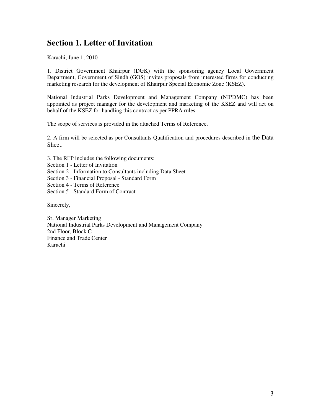## **Section 1. Letter of Invitation**

Karachi, June 1, 2010

1. District Government Khairpur (DGK) with the sponsoring agency Local Government Department, Government of Sindh (GOS) invites proposals from interested firms for conducting marketing research for the development of Khairpur Special Economic Zone (KSEZ).

National Industrial Parks Development and Management Company (NIPDMC) has been appointed as project manager for the development and marketing of the KSEZ and will act on behalf of the KSEZ for handling this contract as per PPRA rules.

The scope of services is provided in the attached Terms of Reference.

2. A firm will be selected as per Consultants Qualification and procedures described in the Data Sheet.

- 3. The RFP includes the following documents:
- Section 1 Letter of Invitation
- Section 2 Information to Consultants including Data Sheet
- Section 3 Financial Proposal Standard Form
- Section 4 Terms of Reference
- Section 5 Standard Form of Contract

Sincerely,

Sr. Manager Marketing National Industrial Parks Development and Management Company 2nd Floor, Block C Finance and Trade Center Karachi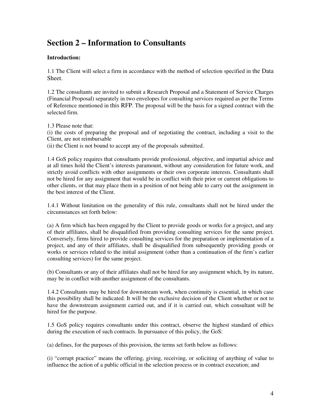## **Section 2 – Information to Consultants**

### **Introduction:**

1.1 The Client will select a firm in accordance with the method of selection specified in the Data Sheet.

1.2 The consultants are invited to submit a Research Proposal and a Statement of Service Charges (Financial Proposal) separately in two envelopes for consulting services required as per the Terms of Reference mentioned in this RFP. The proposal will be the basis for a signed contract with the selected firm.

1.3 Please note that:

(i) the costs of preparing the proposal and of negotiating the contract, including a visit to the Client, are not reimbursable

(ii) the Client is not bound to accept any of the proposals submitted.

1.4 GoS policy requires that consultants provide professional, objective, and impartial advice and at all times hold the Client's interests paramount, without any consideration for future work, and strictly avoid conflicts with other assignments or their own corporate interests. Consultants shall not be hired for any assignment that would be in conflict with their prior or current obligations to other clients, or that may place them in a position of not being able to carry out the assignment in the best interest of the Client.

1.4.1 Without limitation on the generality of this rule, consultants shall not be hired under the circumstances set forth below:

(a) A firm which has been engaged by the Client to provide goods or works for a project, and any of their affiliates, shall be disqualified from providing consulting services for the same project. Conversely, firms hired to provide consulting services for the preparation or implementation of a project, and any of their affiliates, shall be disqualified from subsequently providing goods or works or services related to the initial assignment (other than a continuation of the firm's earlier consulting services) for the same project.

(b) Consultants or any of their affiliates shall not be hired for any assignment which, by its nature, may be in conflict with another assignment of the consultants.

1.4.2 Consultants may be hired for downstream work, when continuity is essential, in which case this possibility shall be indicated. It will be the exclusive decision of the Client whether or not to have the downstream assignment carried out, and if it is carried out, which consultant will be hired for the purpose.

1.5 GoS policy requires consultants under this contract, observe the highest standard of ethics during the execution of such contracts. In pursuance of this policy, the GoS:

(a) defines, for the purposes of this provision, the terms set forth below as follows:

(i) "corrupt practice" means the offering, giving, receiving, or soliciting of anything of value to influence the action of a public official in the selection process or in contract execution; and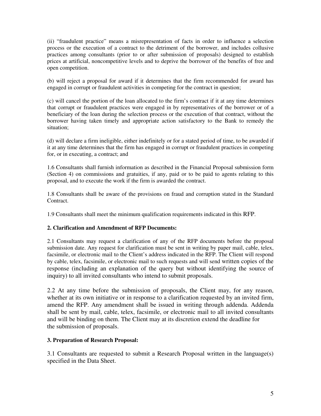(ii) "fraudulent practice" means a misrepresentation of facts in order to influence a selection process or the execution of a contract to the detriment of the borrower, and includes collusive practices among consultants (prior to or after submission of proposals) designed to establish prices at artificial, noncompetitive levels and to deprive the borrower of the benefits of free and open competition.

(b) will reject a proposal for award if it determines that the firm recommended for award has engaged in corrupt or fraudulent activities in competing for the contract in question;

(c) will cancel the portion of the loan allocated to the firm's contract if it at any time determines that corrupt or fraudulent practices were engaged in by representatives of the borrower or of a beneficiary of the loan during the selection process or the execution of that contract, without the borrower having taken timely and appropriate action satisfactory to the Bank to remedy the situation;

(d) will declare a firm ineligible, either indefinitely or for a stated period of time, to be awarded if it at any time determines that the firm has engaged in corrupt or fraudulent practices in competing for, or in executing, a contract; and

1.6 Consultants shall furnish information as described in the Financial Proposal submission form (Section 4) on commissions and gratuities, if any, paid or to be paid to agents relating to this proposal, and to execute the work if the firm is awarded the contract.

1.8 Consultants shall be aware of the provisions on fraud and corruption stated in the Standard Contract.

1.9 Consultants shall meet the minimum qualification requirements indicated in this RFP.

#### **2. Clarification and Amendment of RFP Documents:**

2.1 Consultants may request a clarification of any of the RFP documents before the proposal submission date. Any request for clarification must be sent in writing by paper mail, cable, telex, facsimile, or electronic mail to the Client's address indicated in the RFP. The Client will respond by cable, telex, facsimile, or electronic mail to such requests and will send written copies of the response (including an explanation of the query but without identifying the source of inquiry) to all invited consultants who intend to submit proposals.

2.2 At any time before the submission of proposals, the Client may, for any reason, whether at its own initiative or in response to a clarification requested by an invited firm, amend the RFP. Any amendment shall be issued in writing through addenda. Addenda shall be sent by mail, cable, telex, facsimile, or electronic mail to all invited consultants and will be binding on them. The Client may at its discretion extend the deadline for the submission of proposals.

#### **3. Preparation of Research Proposal:**

3.1 Consultants are requested to submit a Research Proposal written in the language(s) specified in the Data Sheet.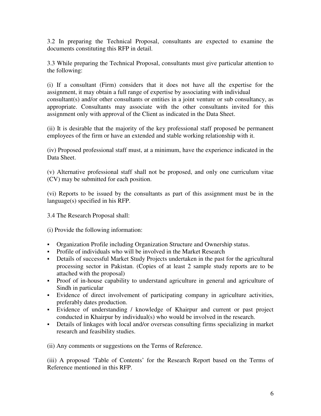3.2 In preparing the Technical Proposal, consultants are expected to examine the documents constituting this RFP in detail.

3.3 While preparing the Technical Proposal, consultants must give particular attention to the following:

(i) If a consultant (Firm) considers that it does not have all the expertise for the assignment, it may obtain a full range of expertise by associating with individual consultant(s) and/or other consultants or entities in a joint venture or sub consultancy, as appropriate. Consultants may associate with the other consultants invited for this assignment only with approval of the Client as indicated in the Data Sheet.

(ii) It is desirable that the majority of the key professional staff proposed be permanent employees of the firm or have an extended and stable working relationship with it.

(iv) Proposed professional staff must, at a minimum, have the experience indicated in the Data Sheet.

(v) Alternative professional staff shall not be proposed, and only one curriculum vitae (CV) may be submitted for each position.

(vi) Reports to be issued by the consultants as part of this assignment must be in the language(s) specified in his RFP.

3.4 The Research Proposal shall:

(i) Provide the following information:

- Organization Profile including Organization Structure and Ownership status.
- Profile of individuals who will be involved in the Market Research
- Details of successful Market Study Projects undertaken in the past for the agricultural processing sector in Pakistan. (Copies of at least 2 sample study reports are to be attached with the proposal)
- Proof of in-house capability to understand agriculture in general and agriculture of Sindh in particular
- Evidence of direct involvement of participating company in agriculture activities, preferably dates production.
- Evidence of understanding / knowledge of Khairpur and current or past project conducted in Khairpur by individual(s) who would be involved in the research.
- Details of linkages with local and/or overseas consulting firms specializing in market research and feasibility studies.

(ii) Any comments or suggestions on the Terms of Reference.

(iii) A proposed 'Table of Contents' for the Research Report based on the Terms of Reference mentioned in this RFP.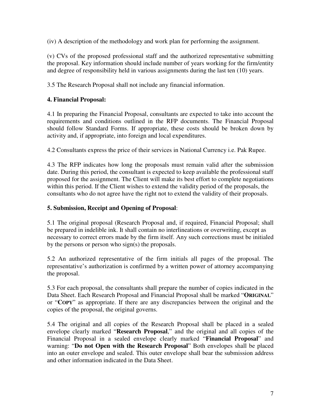(iv) A description of the methodology and work plan for performing the assignment.

(v) CVs of the proposed professional staff and the authorized representative submitting the proposal. Key information should include number of years working for the firm/entity and degree of responsibility held in various assignments during the last ten (10) years.

3.5 The Research Proposal shall not include any financial information.

## **4. Financial Proposal:**

4.1 In preparing the Financial Proposal, consultants are expected to take into account the requirements and conditions outlined in the RFP documents. The Financial Proposal should follow Standard Forms. If appropriate, these costs should be broken down by activity and, if appropriate, into foreign and local expenditures.

4.2 Consultants express the price of their services in National Currency i.e. Pak Rupee.

4.3 The RFP indicates how long the proposals must remain valid after the submission date. During this period, the consultant is expected to keep available the professional staff proposed for the assignment. The Client will make its best effort to complete negotiations within this period. If the Client wishes to extend the validity period of the proposals, the consultants who do not agree have the right not to extend the validity of their proposals.

## **5. Submission, Receipt and Opening of Proposal**:

5.1 The original proposal (Research Proposal and, if required, Financial Proposal; shall be prepared in indelible ink. It shall contain no interlineations or overwriting, except as necessary to correct errors made by the firm itself. Any such corrections must be initialed by the persons or person who sign(s) the proposals.

5.2 An authorized representative of the firm initials all pages of the proposal. The representative's authorization is confirmed by a written power of attorney accompanying the proposal.

5.3 For each proposal, the consultants shall prepare the number of copies indicated in the Data Sheet. Each Research Proposal and Financial Proposal shall be marked "**ORIGINAL**" or "**COPY**" as appropriate. If there are any discrepancies between the original and the copies of the proposal, the original governs.

5.4 The original and all copies of the Research Proposal shall be placed in a sealed envelope clearly marked "**Research Proposal**," and the original and all copies of the Financial Proposal in a sealed envelope clearly marked "**Financial Proposal**" and warning: "**Do not Open with the Research Proposal**" Both envelopes shall be placed into an outer envelope and sealed. This outer envelope shall bear the submission address and other information indicated in the Data Sheet.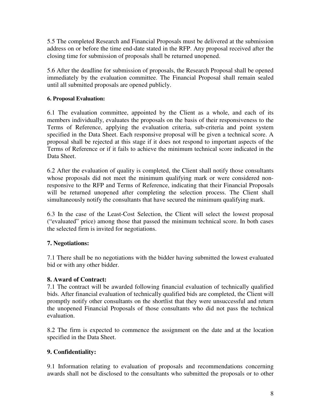5.5 The completed Research and Financial Proposals must be delivered at the submission address on or before the time end-date stated in the RFP. Any proposal received after the closing time for submission of proposals shall be returned unopened.

5.6 After the deadline for submission of proposals, the Research Proposal shall be opened immediately by the evaluation committee. The Financial Proposal shall remain sealed until all submitted proposals are opened publicly.

## **6. Proposal Evaluation:**

6.1 The evaluation committee, appointed by the Client as a whole, and each of its members individually, evaluates the proposals on the basis of their responsiveness to the Terms of Reference, applying the evaluation criteria, sub-criteria and point system specified in the Data Sheet. Each responsive proposal will be given a technical score. A proposal shall be rejected at this stage if it does not respond to important aspects of the Terms of Reference or if it fails to achieve the minimum technical score indicated in the Data Sheet.

6.2 After the evaluation of quality is completed, the Client shall notify those consultants whose proposals did not meet the minimum qualifying mark or were considered nonresponsive to the RFP and Terms of Reference, indicating that their Financial Proposals will be returned unopened after completing the selection process. The Client shall simultaneously notify the consultants that have secured the minimum qualifying mark.

6.3 In the case of the Least-Cost Selection, the Client will select the lowest proposal ("evaluated" price) among those that passed the minimum technical score. In both cases the selected firm is invited for negotiations.

## **7. Negotiations:**

7.1 There shall be no negotiations with the bidder having submitted the lowest evaluated bid or with any other bidder.

### **8. Award of Contract:**

7.1 The contract will be awarded following financial evaluation of technically qualified bids. After financial evaluation of technically qualified bids are completed, the Client will promptly notify other consultants on the shortlist that they were unsuccessful and return the unopened Financial Proposals of those consultants who did not pass the technical evaluation.

8.2 The firm is expected to commence the assignment on the date and at the location specified in the Data Sheet.

## **9. Confidentiality:**

9.1 Information relating to evaluation of proposals and recommendations concerning awards shall not be disclosed to the consultants who submitted the proposals or to other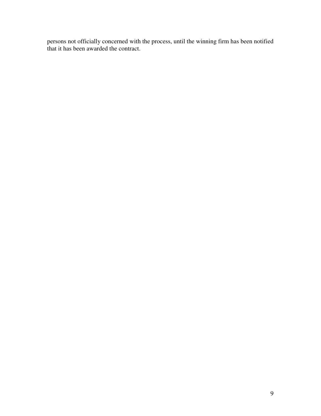persons not officially concerned with the process, until the winning firm has been notified that it has been awarded the contract.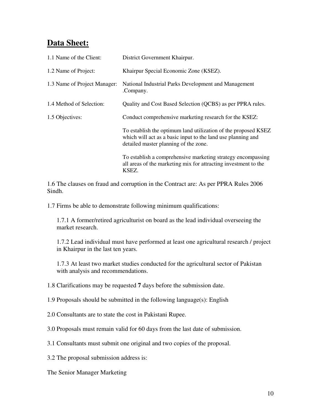## **Data Sheet:**

| 1.1 Name of the Client:      | District Government Khairpur.                                                                                                                                           |
|------------------------------|-------------------------------------------------------------------------------------------------------------------------------------------------------------------------|
| 1.2 Name of Project:         | Khairpur Special Economic Zone (KSEZ).                                                                                                                                  |
| 1.3 Name of Project Manager: | National Industrial Parks Development and Management<br>.Company.                                                                                                       |
| 1.4 Method of Selection:     | Quality and Cost Based Selection (QCBS) as per PPRA rules.                                                                                                              |
| 1.5 Objectives:              | Conduct comprehensive marketing research for the KSEZ:                                                                                                                  |
|                              | To establish the optimum land utilization of the proposed KSEZ<br>which will act as a basic input to the land use planning and<br>detailed master planning of the zone. |
|                              | To establish a comprehensive marketing strategy encompassing<br>all areas of the marketing mix for attracting investment to the<br>KSEZ.                                |

1.6 The clauses on fraud and corruption in the Contract are: As per PPRA Rules 2006 Sindh.

1.7 Firms be able to demonstrate following minimum qualifications:

1.7.1 A former/retired agriculturist on board as the lead individual overseeing the market research.

1.7.2 Lead individual must have performed at least one agricultural research / project in Khairpur in the last ten years.

1.7.3 At least two market studies conducted for the agricultural sector of Pakistan with analysis and recommendations.

1.8 Clarifications may be requested **7** days before the submission date.

1.9 Proposals should be submitted in the following language(s): English

2.0 Consultants are to state the cost in Pakistani Rupee.

3.0 Proposals must remain valid for 60 days from the last date of submission.

3.1 Consultants must submit one original and two copies of the proposal.

3.2 The proposal submission address is:

The Senior Manager Marketing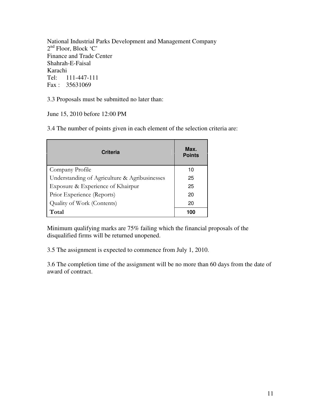National Industrial Parks Development and Management Company 2<sup>nd</sup> Floor, Block 'C' Finance and Trade Center Shahrah-E-Faisal Karachi Tel: 111-447-111 Fax : 35631069

3.3 Proposals must be submitted no later than:

June 15, 2010 before 12:00 PM

3.4 The number of points given in each element of the selection criteria are:

| <b>Criteria</b>                               | Max.<br><b>Points</b> |
|-----------------------------------------------|-----------------------|
| Company Profile                               | 10                    |
| Understanding of Agriculture & Agribusinesses | 25                    |
| Exposure & Experience of Khairpur             | 25                    |
| Prior Experience (Reports)                    | 20                    |
| Quality of Work (Contents)                    | 20                    |
| Total                                         | 100                   |

Minimum qualifying marks are 75% failing which the financial proposals of the disqualified firms will be returned unopened.

3.5 The assignment is expected to commence from July 1, 2010.

3.6 The completion time of the assignment will be no more than 60 days from the date of award of contract.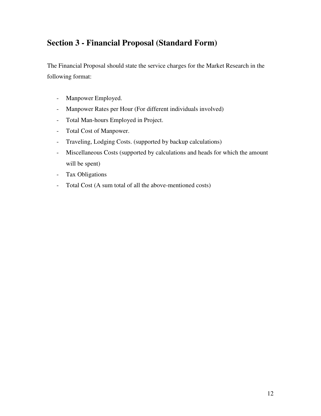## **Section 3 - Financial Proposal (Standard Form)**

The Financial Proposal should state the service charges for the Market Research in the following format:

- Manpower Employed.
- Manpower Rates per Hour (For different individuals involved)
- Total Man-hours Employed in Project.
- Total Cost of Manpower.
- Traveling, Lodging Costs. (supported by backup calculations)
- Miscellaneous Costs (supported by calculations and heads for which the amount will be spent)
- Tax Obligations
- Total Cost (A sum total of all the above-mentioned costs)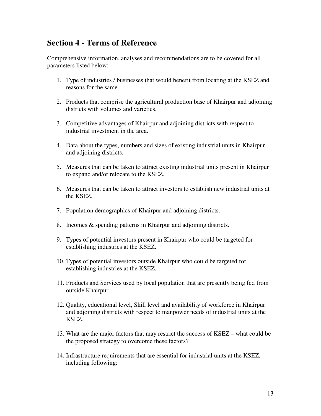## **Section 4 - Terms of Reference**

Comprehensive information, analyses and recommendations are to be covered for all parameters listed below:

- 1. Type of industries / businesses that would benefit from locating at the KSEZ and reasons for the same.
- 2. Products that comprise the agricultural production base of Khairpur and adjoining districts with volumes and varieties.
- 3. Competitive advantages of Khairpur and adjoining districts with respect to industrial investment in the area.
- 4. Data about the types, numbers and sizes of existing industrial units in Khairpur and adjoining districts.
- 5. Measures that can be taken to attract existing industrial units present in Khairpur to expand and/or relocate to the KSEZ.
- 6. Measures that can be taken to attract investors to establish new industrial units at the KSEZ.
- 7. Population demographics of Khairpur and adjoining districts.
- 8. Incomes & spending patterns in Khairpur and adjoining districts.
- 9. Types of potential investors present in Khairpur who could be targeted for establishing industries at the KSEZ.
- 10. Types of potential investors outside Khairpur who could be targeted for establishing industries at the KSEZ.
- 11. Products and Services used by local population that are presently being fed from outside Khairpur
- 12. Quality, educational level, Skill level and availability of workforce in Khairpur and adjoining districts with respect to manpower needs of industrial units at the KSEZ.
- 13. What are the major factors that may restrict the success of KSEZ what could be the proposed strategy to overcome these factors?
- 14. Infrastructure requirements that are essential for industrial units at the KSEZ, including following: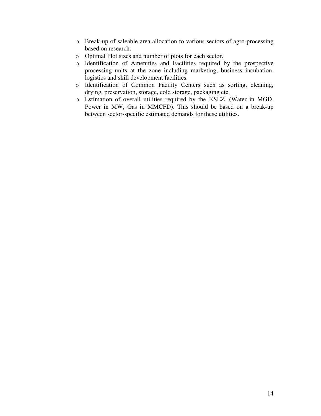- o Break-up of saleable area allocation to various sectors of agro-processing based on research.
- o Optimal Plot sizes and number of plots for each sector.
- o Identification of Amenities and Facilities required by the prospective processing units at the zone including marketing, business incubation, logistics and skill development facilities.
- o Identification of Common Facility Centers such as sorting, cleaning, drying, preservation, storage, cold storage, packaging etc.
- o Estimation of overall utilities required by the KSEZ. (Water in MGD, Power in MW, Gas in MMCFD). This should be based on a break-up between sector-specific estimated demands for these utilities.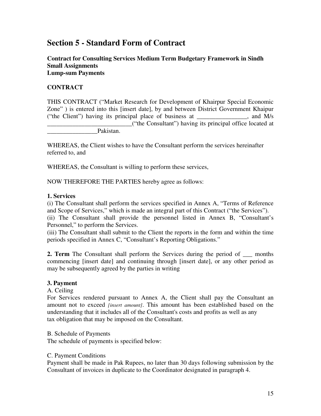## **Section 5 - Standard Form of Contract**

### **Contract for Consulting Services Medium Term Budgetary Framework in Sindh Small Assignments Lump-sum Payments**

## **CONTRACT**

THIS CONTRACT ("Market Research for Development of Khairpur Special Economic Zone" ) is entered into this [insert date], by and between District Government Khaipur ("the Client") having its principal place of business at  $\qquad$ , and M/s \_\_\_\_\_\_\_\_\_\_\_\_\_\_\_\_\_\_\_\_\_\_\_\_\_\_\_("the Consultant") having its principal office located at Pakistan.

WHEREAS, the Client wishes to have the Consultant perform the services hereinafter referred to, and

WHEREAS, the Consultant is willing to perform these services,

NOW THEREFORE THE PARTIES hereby agree as follows:

### **1. Services**

(i) The Consultant shall perform the services specified in Annex A, "Terms of Reference and Scope of Services," which is made an integral part of this Contract ("the Services").

(ii) The Consultant shall provide the personnel listed in Annex B, "Consultant's Personnel," to perform the Services.

(iii) The Consultant shall submit to the Client the reports in the form and within the time periods specified in Annex C, "Consultant's Reporting Obligations."

**2. Term** The Consultant shall perform the Services during the period of \_\_\_ months commencing [insert date] and continuing through [insert date], or any other period as may be subsequently agreed by the parties in writing

### **3. Payment**

A. Ceiling

For Services rendered pursuant to Annex A, the Client shall pay the Consultant an amount not to exceed *[insert amount]*. This amount has been established based on the understanding that it includes all of the Consultant's costs and profits as well as any tax obligation that may be imposed on the Consultant.

B. Schedule of Payments

The schedule of payments is specified below:

#### C. Payment Conditions

Payment shall be made in Pak Rupees, no later than 30 days following submission by the Consultant of invoices in duplicate to the Coordinator designated in paragraph 4.